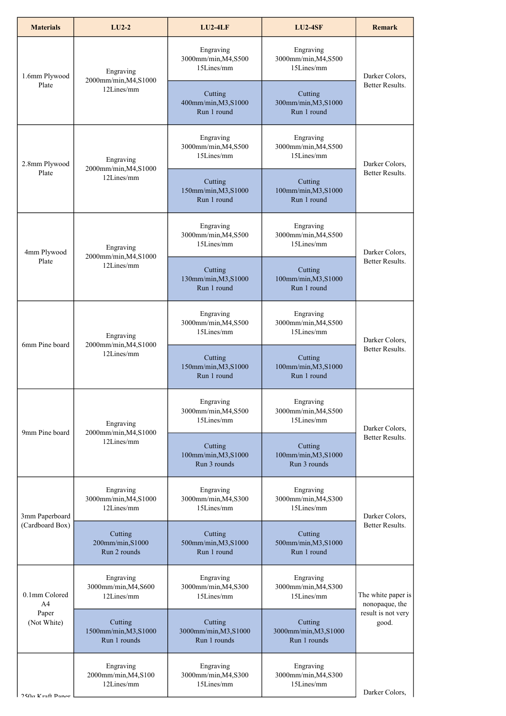| <b>Materials</b>                                        | $LU$ <sub>2-2</sub>                              | $LU$ <sub>2</sub> -4 $LF$                        | <b>LU2-4SF</b>                                   | <b>Remark</b>                                                       |
|---------------------------------------------------------|--------------------------------------------------|--------------------------------------------------|--------------------------------------------------|---------------------------------------------------------------------|
| 1.6mm Plywood<br>Plate                                  | Engraving<br>2000mm/min, M4, S1000<br>12Lines/mm | Engraving<br>3000mm/min, M4, S500<br>15Lines/mm  | Engraving<br>3000mm/min, M4, S500<br>15Lines/mm  | Darker Colors,<br><b>Better Results.</b>                            |
|                                                         |                                                  | Cutting<br>400mm/min, M3, S1000<br>Run 1 round   | Cutting<br>300mm/min, M3, S1000<br>Run 1 round   |                                                                     |
| 2.8mm Plywood<br>Plate                                  | Engraving<br>2000mm/min, M4, S1000<br>12Lines/mm | Engraving<br>3000mm/min, M4, S500<br>15Lines/mm  | Engraving<br>3000mm/min, M4, S500<br>15Lines/mm  | Darker Colors,<br>Better Results.                                   |
|                                                         |                                                  | Cutting<br>150mm/min, M3, S1000<br>Run 1 round   | Cutting<br>100mm/min, M3, S1000<br>Run 1 round   |                                                                     |
| 4mm Plywood<br>Plate                                    | Engraving<br>2000mm/min, M4, S1000<br>12Lines/mm | Engraving<br>3000mm/min, M4, S500<br>15Lines/mm  | Engraving<br>3000mm/min, M4, S500<br>15Lines/mm  | Darker Colors,<br><b>Better Results.</b>                            |
|                                                         |                                                  | Cutting<br>130mm/min, M3, S1000<br>Run 1 round   | Cutting<br>100mm/min, M3, S1000<br>Run 1 round   |                                                                     |
| 6mm Pine board                                          | Engraving<br>2000mm/min, M4, S1000<br>12Lines/mm | Engraving<br>3000mm/min, M4, S500<br>15Lines/mm  | Engraving<br>3000mm/min, M4, S500<br>15Lines/mm  | Darker Colors,<br>Better Results.                                   |
|                                                         |                                                  | Cutting<br>150mm/min, M3, S1000<br>Run 1 round   | Cutting<br>100mm/min, M3, S1000<br>Run 1 round   |                                                                     |
| 9mm Pine board                                          | Engraving<br>2000mm/min, M4, S1000<br>12Lines/mm | Engraving<br>3000mm/min, M4, S500<br>15Lines/mm  | Engraving<br>3000mm/min, M4, S500<br>15Lines/mm  | Darker Colors,<br>Better Results.                                   |
|                                                         |                                                  | Cutting<br>100mm/min, M3, S1000<br>Run 3 rounds  | Cutting<br>100mm/min, M3, S1000<br>Run 3 rounds  |                                                                     |
| 3mm Paperboard<br>(Cardboard Box)                       | Engraving<br>3000mm/min, M4, S1000<br>12Lines/mm | Engraving<br>3000mm/min, M4, S300<br>15Lines/mm  | Engraving<br>3000mm/min, M4, S300<br>15Lines/mm  | Darker Colors,<br>Better Results.                                   |
|                                                         | Cutting<br>200mm/min, S1000<br>Run 2 rounds      | Cutting<br>500mm/min, M3, S1000<br>Run 1 round   | Cutting<br>500mm/min, M3, S1000<br>Run 1 round   |                                                                     |
| 0.1mm Colored<br>A <sub>4</sub><br>Paper<br>(Not White) | Engraving<br>3000mm/min, M4, S600<br>12Lines/mm  | Engraving<br>3000mm/min, M4, S300<br>15Lines/mm  | Engraving<br>3000mm/min, M4, S300<br>15Lines/mm  | The white paper is<br>nonopaque, the<br>result is not very<br>good. |
|                                                         | Cutting<br>1500mm/min, M3, S1000<br>Run 1 rounds | Cutting<br>3000mm/min, M3, S1000<br>Run 1 rounds | Cutting<br>3000mm/min, M3, S1000<br>Run 1 rounds |                                                                     |
| $250 \sigma$ Kraft Paper                                | Engraving<br>2000mm/min, M4, S100<br>12Lines/mm  | Engraving<br>3000mm/min, M4, S300<br>15Lines/mm  | Engraving<br>3000mm/min, M4, S300<br>15Lines/mm  | Darker Colors,                                                      |